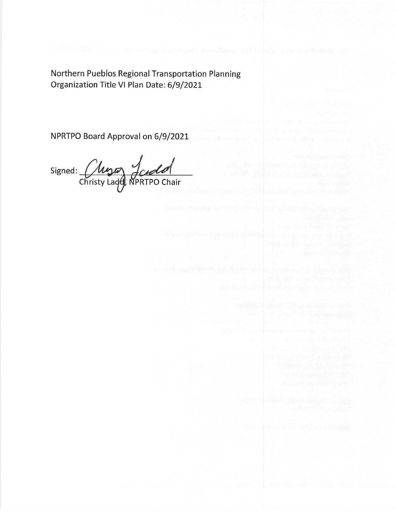Northern Pueblos Regional Transportation Planning Organization Title VI Plan Date: 6/9/2021

NPRTPO Board Approval on 6/9/2021

Signed: Chrys Judol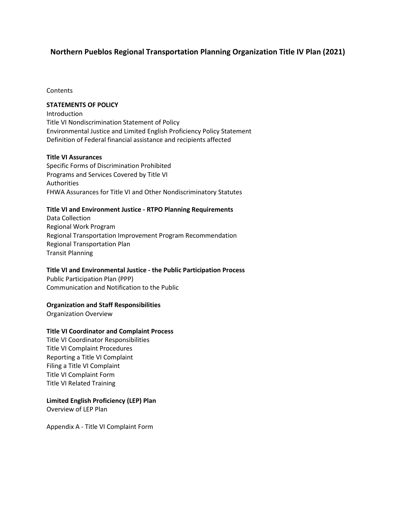# **Northern Pueblos Regional Transportation Planning Organization Title IV Plan (2021)**

**Contents** 

#### **STATEMENTS OF POLICY**

Introduction Title VI Nondiscrimination Statement of Policy Environmental Justice and Limited English Proficiency Policy Statement Definition of Federal financial assistance and recipients affected

#### **Title VI Assurances**

Specific Forms of Discrimination Prohibited Programs and Services Covered by Title VI Authorities FHWA Assurances for Title VI and Other Nondiscriminatory Statutes

#### **Title VI and Environment Justice - RTPO Planning Requirements**

Data Collection Regional Work Program Regional Transportation Improvement Program Recommendation Regional Transportation Plan Transit Planning

#### **Title VI and Environmental Justice - the Public Participation Process**

Public Participation Plan (PPP) Communication and Notification to the Public

#### **Organization and Staff Responsibilities**

Organization Overview

# **Title VI Coordinator and Complaint Process**

Title VI Coordinator Responsibilities Title VI Complaint Procedures Reporting a Title VI Complaint Filing a Title VI Complaint Title VI Complaint Form Title VI Related Training

#### **Limited English Proficiency (LEP) Plan**

Overview of LEP Plan

Appendix A - Title VI Complaint Form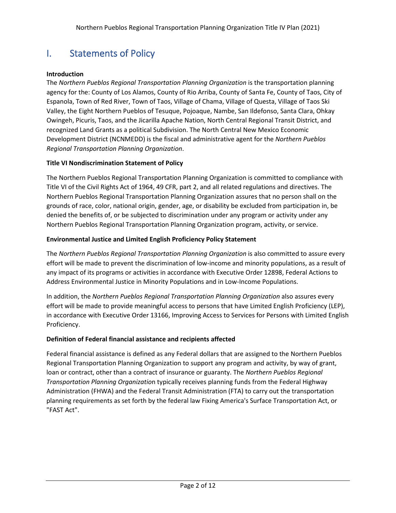# I. Statements of Policy

# **Introduction**

The *Northern Pueblos Regional Transportation Planning Organization* is the transportation planning agency for the: County of Los Alamos, County of Rio Arriba, County of Santa Fe, County of Taos, City of Espanola, Town of Red River, Town of Taos, Village of Chama, Village of Questa, Village of Taos Ski Valley, the Eight Northern Pueblos of Tesuque, Pojoaque, Nambe, San Ildefonso, Santa Clara, Ohkay Owingeh, Picuris, Taos, and the Jicarilla Apache Nation, North Central Regional Transit District, and recognized Land Grants as a political Subdivision. The North Central New Mexico Economic Development District (NCNMEDD) is the fiscal and administrative agent for the *Northern Pueblos Regional Transportation Planning Organization*.

### **Title VI Nondiscrimination Statement of Policy**

The Northern Pueblos Regional Transportation Planning Organization is committed to compliance with Title VI of the Civil Rights Act of 1964, 49 CFR, part 2, and all related regulations and directives. The Northern Pueblos Regional Transportation Planning Organization assures that no person shall on the grounds of race, color, national origin, gender, age, or disability be excluded from participation in, be denied the benefits of, or be subjected to discrimination under any program or activity under any Northern Pueblos Regional Transportation Planning Organization program, activity, or service.

### **Environmental Justice and Limited English Proficiency Policy Statement**

The *Northern Pueblos Regional Transportation Planning Organization* is also committed to assure every effort will be made to prevent the discrimination of low-income and minority populations, as a result of any impact of its programs or activities in accordance with Executive Order 12898, Federal Actions to Address Environmental Justice in Minority Populations and in Low-Income Populations.

In addition, the *Northern Pueblos Regional Transportation Planning Organization* also assures every effort will be made to provide meaningful access to persons that have Limited English Proficiency (LEP), in accordance with Executive Order 13166, Improving Access to Services for Persons with Limited English Proficiency.

#### **Definition of Federal financial assistance and recipients affected**

Federal financial assistance is defined as any Federal dollars that are assigned to the Northern Pueblos Regional Transportation Planning Organization to support any program and activity, by way of grant, loan or contract, other than a contract of insurance or guaranty. The *Northern Pueblos Regional Transportation Planning Organizatio*n typically receives planning funds from the Federal Highway Administration (FHWA) and the Federal Transit Administration (FTA) to carry out the transportation planning requirements as set forth by the federal law Fixing America's Surface Transportation Act, or "FAST Act".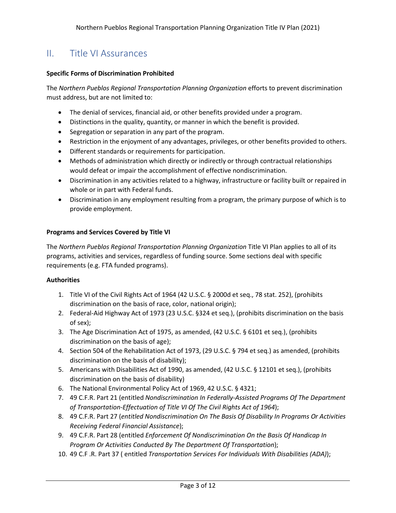# II. Title VI Assurances

### **Specific Forms of Discrimination Prohibited**

The *Northern Pueblos Regional Transportation Planning Organization* efforts to prevent discrimination must address, but are not limited to:

- The denial of services, financial aid, or other benefits provided under a program.
- Distinctions in the quality, quantity, or manner in which the benefit is provided.
- Segregation or separation in any part of the program.
- Restriction in the enjoyment of any advantages, privileges, or other benefits provided to others.
- Different standards or requirements for participation.
- Methods of administration which directly or indirectly or through contractual relationships would defeat or impair the accomplishment of effective nondiscrimination.
- Discrimination in any activities related to a highway, infrastructure or facility built or repaired in whole or in part with Federal funds.
- Discrimination in any employment resulting from a program, the primary purpose of which is to provide employment.

#### **Programs and Services Covered by Title VI**

The *Northern Pueblos Regional Transportation Planning Organization* Title VI Plan applies to all of its programs, activities and services, regardless of funding source. Some sections deal with specific requirements (e.g. FTA funded programs).

#### **Authorities**

- 1. Title VI of the Civil Rights Act of 1964 (42 U.S.C. § 2000d et seq., 78 stat. 252), (prohibits discrimination on the basis of race, color, national origin);
- 2. Federal-Aid Highway Act of 1973 (23 U.S.C. §324 et seq.), (prohibits discrimination on the basis of sex);
- 3. The Age Discrimination Act of 1975, as amended, (42 U.S.C. § 6101 et seq.), (prohibits discrimination on the basis of age);
- 4. Section 504 of the Rehabilitation Act of 1973, (29 U.S.C. § 794 et seq.) as amended, (prohibits discrimination on the basis of disability);
- 5. Americans with Disabilities Act of 1990, as amended, (42 U.S.C. § 12101 et seq.), (prohibits discrimination on the basis of disability)
- 6. The National Environmental Policy Act of 1969, 42 U.S.C. § 4321;
- 7. 49 C.F.R. Part 21 (entitled *Nondiscrimination In Federally-Assisted Programs Of The Department of Transportation-Effectuation of Title VI Of The Civil Rights Act of 1964*);
- 8. 49 C.F.R. Part 27 (*entitled Nondiscrimination On The Basis Of Disability In Programs Or Activities Receiving Federal Financial Assistance*);
- 9. 49 C.F.R. Part 28 (entitled *Enforcement Of Nondiscrimination On the Basis Of Handicap In Program Or Activities Conducted By The Department Of Transportation*);
- 10. 49 C.F .R. Part 37 ( entitled *Transportation Services For Individuals With Disabilities (ADA)*);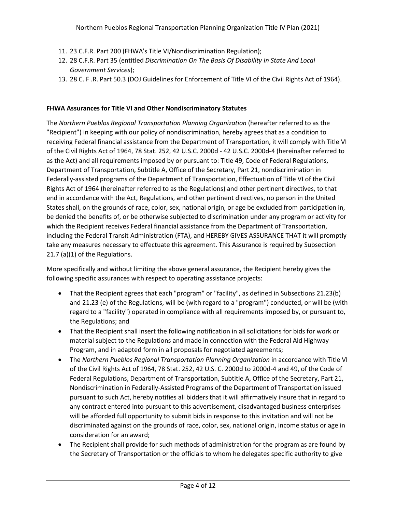- 11. 23 C.F.R. Part 200 (FHWA's Title VI/Nondiscrimination Regulation);
- 12. 28 C.F.R. Part 35 (entitled *Discrimination On The Basis Of Disability In State And Local Government Services*);
- 13. 28 C. F .R. Part 50.3 (DOJ Guidelines for Enforcement of Title VI of the Civil Rights Act of 1964).

# **FHWA Assurances for Title VI and Other Nondiscriminatory Statutes**

The *Northern Pueblos Regional Transportation Planning Organization* (hereafter referred to as the "Recipient") in keeping with our policy of nondiscrimination, hereby agrees that as a condition to receiving Federal financial assistance from the Department of Transportation, it will comply with Title VI of the Civil Rights Act of 1964, 78 Stat. 252, 42 U.S.C. 2000d - 42 U.S.C. 2000d-4 (hereinafter referred to as the Act) and all requirements imposed by or pursuant to: Title 49, Code of Federal Regulations, Department of Transportation, Subtitle A, Office of the Secretary, Part 21, nondiscrimination in Federally-assisted programs of the Department of Transportation, Effectuation of Title VI of the Civil Rights Act of 1964 (hereinafter referred to as the Regulations) and other pertinent directives, to that end in accordance with the Act, Regulations, and other pertinent directives, no person in the United States shall, on the grounds of race, color, sex, national origin, or age be excluded from participation in, be denied the benefits of, or be otherwise subjected to discrimination under any program or activity for which the Recipient receives Federal financial assistance from the Department of Transportation, including the Federal Transit Administration (FTA), and HEREBY GIVES ASSURANCE THAT it will promptly take any measures necessary to effectuate this agreement. This Assurance is required by Subsection 21.7 (a)(1) of the Regulations.

More specifically and without limiting the above general assurance, the Recipient hereby gives the following specific assurances with respect to operating assistance projects:

- That the Recipient agrees that each "program" or "facility", as defined in Subsections 21.23(b) and 21.23 (e) of the Regulations, will be (with regard to a "program") conducted, or will be (with regard to a "facility") operated in compliance with all requirements imposed by, or pursuant to, the Regulations; and
- That the Recipient shall insert the following notification in all solicitations for bids for work or material subject to the Regulations and made in connection with the Federal Aid Highway Program, and in adapted form in all proposals for negotiated agreements;
- The *Northern Pueblos Regional Transportation Planning Organization* in accordance with Title VI of the Civil Rights Act of 1964, 78 Stat. 252, 42 U.S. C. 2000d to 2000d-4 and 49, of the Code of Federal Regulations, Department of Transportation, Subtitle A, Office of the Secretary, Part 21, Nondiscrimination in Federally-Assisted Programs of the Department of Transportation issued pursuant to such Act, hereby notifies all bidders that it will affirmatively insure that in regard to any contract entered into pursuant to this advertisement, disadvantaged business enterprises will be afforded full opportunity to submit bids in response to this invitation and will not be discriminated against on the grounds of race, color, sex, national origin, income status or age in consideration for an award;
- The Recipient shall provide for such methods of administration for the program as are found by the Secretary of Transportation or the officials to whom he delegates specific authority to give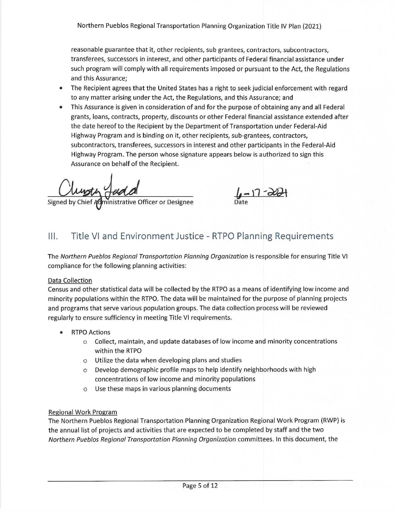reasonable guarantee that it, other recipients, sub grantees, contractors, subcontractors, transferees, successors in interest, and other participants of Federal financial assistance under such program will comply with all requirements imposed or pursuant to the Act, the Regulations and this Assurance;

- The Recipient agrees that the United States has a right to seek judicial enforcement with regard to any matter arising under the Act, the Regulations, and this Assurance; and
- This Assurance is given in consideration of and for the purpose of obtaining any and all Federal grants, loans, contracts, property, discounts or other Federal financial assistance extended after the date hereof to the Recipient by the Department of Transportation under Federal-Aid Highway Program and is binding on it, other recipients, sub-grantees, contractors, subcontractors, transferees, successors in interest and other participants in the Federal-Aid Highway Program. The person whose signature appears below is authorized to sign this Assurance on behalf of the Recipient.

Signed by Chief Administrative Officer or Designee

 $\frac{1}{\text{Date}}$ 

#### Title VI and Environment Justice - RTPO Planning Requirements  $III.$

The Northern Pueblos Regional Transportation Planning Organization is responsible for ensuring Title VI compliance for the following planning activities:

# Data Collection

Census and other statistical data will be collected by the RTPO as a means of identifying low income and minority populations within the RTPO. The data will be maintained for the purpose of planning projects and programs that serve various population groups. The data collection process will be reviewed regularly to ensure sufficiency in meeting Title VI requirements.

- **RTPO Actions**  $\bullet$ 
	- o Collect, maintain, and update databases of low income and minority concentrations within the RTPO
	- o Utilize the data when developing plans and studies
	- $\circ$  Develop demographic profile maps to help identify neighborhoods with high concentrations of low income and minority populations
	- O Use these maps in various planning documents

# **Regional Work Program**

The Northern Pueblos Regional Transportation Planning Organization Regional Work Program (RWP) is the annual list of projects and activities that are expected to be completed by staff and the two Northern Pueblos Regional Transportation Planning Organization committees. In this document, the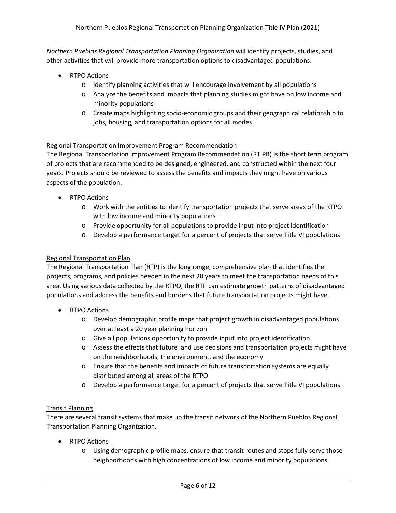*Northern Pueblos Regional Transportation Planning Organization* will identify projects, studies, and other activities that will provide more transportation options to disadvantaged populations.

- RTPO Actions
	- o Identify planning activities that will encourage involvement by all populations
	- o Analyze the benefits and impacts that planning studies might have on low income and minority populations
	- o Create maps highlighting socio-economic groups and their geographical relationship to jobs, housing, and transportation options for all modes

### Regional Transportation Improvement Program Recommendation

The Regional Transportation Improvement Program Recommendation (RTIPR) is the short term program of projects that are recommended to be designed, engineered, and constructed within the next four years. Projects should be reviewed to assess the benefits and impacts they might have on various aspects of the population.

- RTPO Actions
	- o Work with the entities to identify transportation projects that serve areas of the RTPO with low income and minority populations
	- $\circ$  Provide opportunity for all populations to provide input into project identification
	- o Develop a performance target for a percent of projects that serve Title VI populations

### Regional Transportation Plan

The Regional Transportation Plan (RTP) is the long range, comprehensive plan that identifies the projects, programs, and policies needed in the next 20 years to meet the transportation needs of this area. Using various data collected by the RTPO, the RTP can estimate growth patterns of disadvantaged populations and address the benefits and burdens that future transportation projects might have.

- RTPO Actions
	- o Develop demographic profile maps that project growth in disadvantaged populations over at least a 20 year planning horizon
	- o Give all populations opportunity to provide input into project identification
	- o Assess the effects that future land use decisions and transportation projects might have on the neighborhoods, the environment, and the economy
	- o Ensure that the benefits and impacts of future transportation systems are equally distributed among all areas of the RTPO
	- o Develop a performance target for a percent of projects that serve Title VI populations

#### Transit Planning

There are several transit systems that make up the transit network of the Northern Pueblos Regional Transportation Planning Organization.

- RTPO Actions
	- o Using demographic profile maps, ensure that transit routes and stops fully serve those neighborhoods with high concentrations of low income and minority populations.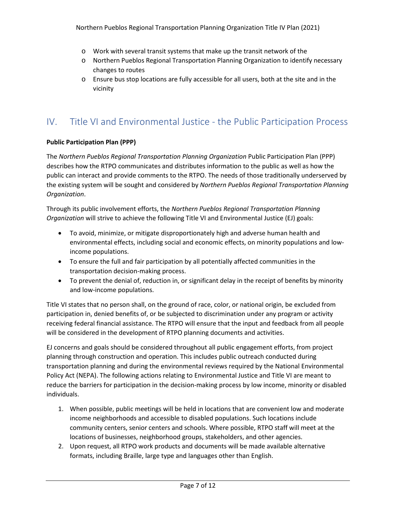- o Work with several transit systems that make up the transit network of the
- o Northern Pueblos Regional Transportation Planning Organization to identify necessary changes to routes
- o Ensure bus stop locations are fully accessible for all users, both at the site and in the vicinity

# IV. Title VI and Environmental Justice - the Public Participation Process

# **Public Participation Plan (PPP)**

The *Northern Pueblos Regional Transportation Planning Organization* Public Participation Plan (PPP) describes how the RTPO communicates and distributes information to the public as well as how the public can interact and provide comments to the RTPO. The needs of those traditionally underserved by the existing system will be sought and considered by *Northern Pueblos Regional Transportation Planning Organization*.

Through its public involvement efforts, the *Northern Pueblos Regional Transportation Planning Organization* will strive to achieve the following Title VI and Environmental Justice (EJ) goals:

- To avoid, minimize, or mitigate disproportionately high and adverse human health and environmental effects, including social and economic effects, on minority populations and lowincome populations.
- To ensure the full and fair participation by all potentially affected communities in the transportation decision-making process.
- To prevent the denial of, reduction in, or significant delay in the receipt of benefits by minority and low-income populations.

Title VI states that no person shall, on the ground of race, color, or national origin, be excluded from participation in, denied benefits of, or be subjected to discrimination under any program or activity receiving federal financial assistance. The RTPO will ensure that the input and feedback from all people will be considered in the development of RTPO planning documents and activities.

EJ concerns and goals should be considered throughout all public engagement efforts, from project planning through construction and operation. This includes public outreach conducted during transportation planning and during the environmental reviews required by the National Environmental Policy Act (NEPA). The following actions relating to Environmental Justice and Title VI are meant to reduce the barriers for participation in the decision-making process by low income, minority or disabled individuals.

- 1. When possible, public meetings will be held in locations that are convenient low and moderate income neighborhoods and accessible to disabled populations. Such locations include community centers, senior centers and schools. Where possible, RTPO staff will meet at the locations of businesses, neighborhood groups, stakeholders, and other agencies.
- 2. Upon request, all RTPO work products and documents will be made available alternative formats, including Braille, large type and languages other than English.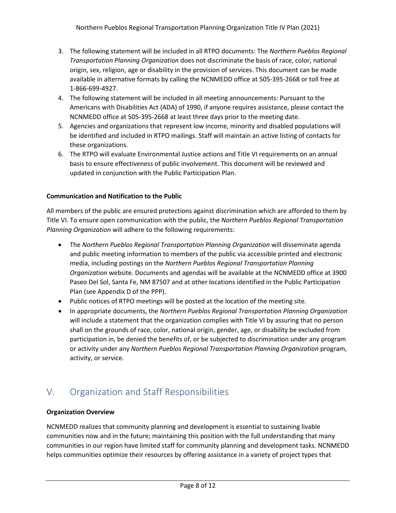- 3. The following statement will be included in all RTPO documents: The *Northern Pueblos Regional Transportation Planning Organization* does not discriminate the basis of race, color, national origin, sex, religion, age or disability in the provision of services. This document can be made available in alternative formats by calling the NCNMEDD office at 505-395-2668 or toll free at 1-866-699-4927.
- 4. The following statement will be included in all meeting announcements: Pursuant to the Americans with Disabilities Act (ADA) of 1990, if anyone requires assistance, please contact the NCNMEDD office at 505-395-2668 at least three days prior to the meeting date.
- 5. Agencies and organizations that represent low income, minority and disabled populations will be identified and included in RTPO mailings. Staff will maintain an active listing of contacts for these organizations.
- 6. The RTPO will evaluate Environmental Justice actions and Title VI requirements on an annual basis to ensure effectiveness of public involvement. This document will be reviewed and updated in conjunction with the Public Participation Plan.

# **Communication and Notification to the Public**

All members of the public are ensured protections against discrimination which are afforded to them by Title VI. To ensure open communication with the public, the *Northern Pueblos Regional Transportation Planning Organization* will adhere to the following requirements:

- The *Northern Pueblos Regional Transportation Planning Organization* will disseminate agenda and public meeting information to members of the public via accessible printed and electronic media, including postings on the *Northern Pueblos Regional Transportation Planning Organization* website. Documents and agendas will be available at the NCNMEDD office at 3900 Paseo Del Sol, Santa Fe, NM 87507 and at other locations identified in the Public Participation Plan (see Appendix D of the PPP).
- Public notices of RTPO meetings will be posted at the location of the meeting site.
- In appropriate documents, the *Northern Pueblos Regional Transportation Planning Organization* will include a statement that the organization complies with Title VI by assuring that no person shall on the grounds of race, color, national origin, gender, age, or disability be excluded from participation in, be denied the benefits of, or be subjected to discrimination under any program or activity under any *Northern Pueblos Regional Transportation Planning Organization* program, activity, or service.

# V. Organization and Staff Responsibilities

# **Organization Overview**

NCNMEDD realizes that community planning and development is essential to sustaining livable communities now and in the future; maintaining this position with the full understanding that many communities in our region have limited staff for community planning and development tasks. NCNMEDD helps communities optimize their resources by offering assistance in a variety of project types that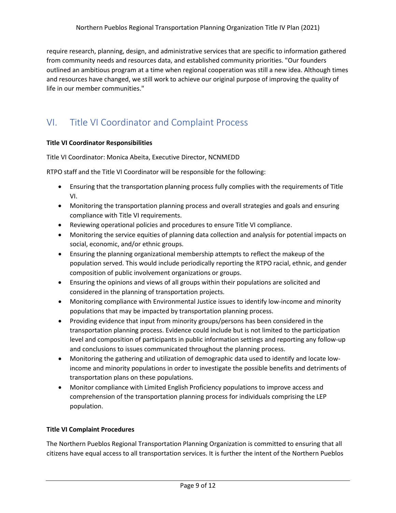require research, planning, design, and administrative services that are specific to information gathered from community needs and resources data, and established community priorities. "Our founders outlined an ambitious program at a time when regional cooperation was still a new idea. Although times and resources have changed, we still work to achieve our original purpose of improving the quality of life in our member communities."

# VI. Title VI Coordinator and Complaint Process

### **Title VI Coordinator Responsibilities**

Title VI Coordinator: Monica Abeita, Executive Director, NCNMEDD

RTPO staff and the Title VI Coordinator will be responsible for the following:

- Ensuring that the transportation planning process fully complies with the requirements of Title VI.
- Monitoring the transportation planning process and overall strategies and goals and ensuring compliance with Title VI requirements.
- Reviewing operational policies and procedures to ensure Title VI compliance.
- Monitoring the service equities of planning data collection and analysis for potential impacts on social, economic, and/or ethnic groups.
- Ensuring the planning organizational membership attempts to reflect the makeup of the population served. This would include periodically reporting the RTPO racial, ethnic, and gender composition of public involvement organizations or groups.
- Ensuring the opinions and views of all groups within their populations are solicited and considered in the planning of transportation projects.
- Monitoring compliance with Environmental Justice issues to identify low-income and minority populations that may be impacted by transportation planning process.
- Providing evidence that input from minority groups/persons has been considered in the transportation planning process. Evidence could include but is not limited to the participation level and composition of participants in public information settings and reporting any follow-up and conclusions to issues communicated throughout the planning process.
- Monitoring the gathering and utilization of demographic data used to identify and locate lowincome and minority populations in order to investigate the possible benefits and detriments of transportation plans on these populations.
- Monitor compliance with Limited English Proficiency populations to improve access and comprehension of the transportation planning process for individuals comprising the LEP population.

#### **Title VI Complaint Procedures**

The Northern Pueblos Regional Transportation Planning Organization is committed to ensuring that all citizens have equal access to all transportation services. It is further the intent of the Northern Pueblos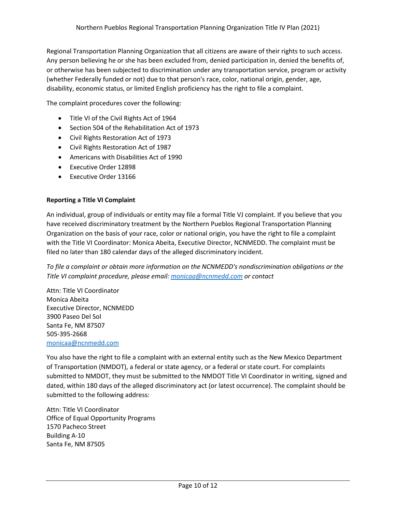Regional Transportation Planning Organization that all citizens are aware of their rights to such access. Any person believing he or she has been excluded from, denied participation in, denied the benefits of, or otherwise has been subjected to discrimination under any transportation service, program or activity (whether Federally funded or not) due to that person's race, color, national origin, gender, age, disability, economic status, or limited English proficiency has the right to file a complaint.

The complaint procedures cover the following:

- Title VI of the Civil Rights Act of 1964
- Section 504 of the Rehabilitation Act of 1973
- Civil Rights Restoration Act of 1973
- Civil Rights Restoration Act of 1987
- Americans with Disabilities Act of 1990
- Executive Order 12898
- Executive Order 13166

#### **Reporting a Title VI Complaint**

An individual, group of individuals or entity may file a formal Title VJ complaint. If you believe that you have received discriminatory treatment by the Northern Pueblos Regional Transportation Planning Organization on the basis of your race, color or national origin, you have the right to file a complaint with the Title VI Coordinator: Monica Abeita, Executive Director, NCNMEDD. The complaint must be filed no later than 180 calendar days of the alleged discriminatory incident.

*To file a complaint or obtain more information on the NCNMEDD's nondiscrimination obligations or the Title VI complaint procedure, please email: [monicaa@ncnmedd.com](mailto:monicaa@ncnmedd.com) or contact*

Attn: Title VI Coordinator Monica Abeita Executive Director, NCNMEDD 3900 Paseo Del Sol Santa Fe, NM 87507 505-395-2668 [monicaa@ncnmedd.com](mailto:monicaa@ncnmedd.com)

You also have the right to file a complaint with an external entity such as the New Mexico Department of Transportation (NMDOT), a federal or state agency, or a federal or state court. For complaints submitted to NMDOT, they must be submitted to the NMDOT Title VI Coordinator in writing, signed and dated, within 180 days of the alleged discriminatory act (or latest occurrence). The complaint should be submitted to the following address:

Attn: Title VI Coordinator Office of Equal Opportunity Programs 1570 Pacheco Street Building A-10 Santa Fe, NM 87505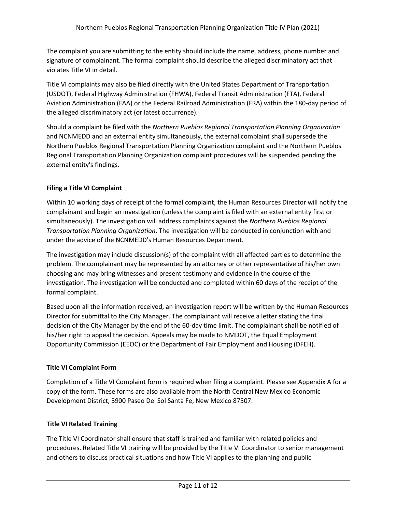The complaint you are submitting to the entity should include the name, address, phone number and signature of complainant. The formal complaint should describe the alleged discriminatory act that violates Title VI in detail.

Title VI complaints may also be filed directly with the United States Department of Transportation (USDOT), Federal Highway Administration (FHWA), Federal Transit Administration (FTA), Federal Aviation Administration (FAA) or the Federal Railroad Administration (FRA) within the 180-day period of the alleged discriminatory act (or latest occurrence).

Should a complaint be filed with the *Northern Pueblos Regional Transportation Planning Organization* and NCNMEDD and an external entity simultaneously, the external complaint shall supersede the Northern Pueblos Regional Transportation Planning Organization complaint and the Northern Pueblos Regional Transportation Planning Organization complaint procedures will be suspended pending the external entity's findings.

# **Filing a Title VI Complaint**

Within 10 working days of receipt of the formal complaint, the Human Resources Director will notify the complainant and begin an investigation (unless the complaint is filed with an external entity first or simultaneously). The investigation will address complaints against the *Northern Pueblos Regional Transportation Planning Organization*. The investigation will be conducted in conjunction with and under the advice of the NCNMEDD's Human Resources Department.

The investigation may include discussion(s) of the complaint with all affected parties to determine the problem. The complainant may be represented by an attorney or other representative of his/her own choosing and may bring witnesses and present testimony and evidence in the course of the investigation. The investigation will be conducted and completed within 60 days of the receipt of the formal complaint.

Based upon all the information received, an investigation report will be written by the Human Resources Director for submittal to the City Manager. The complainant will receive a letter stating the final decision of the City Manager by the end of the 60-day time limit. The complainant shall be notified of his/her right to appeal the decision. Appeals may be made to NMDOT, the Equal Employment Opportunity Commission (EEOC) or the Department of Fair Employment and Housing (DFEH).

# **Title VI Complaint Form**

Completion of a Title VI Complaint form is required when filing a complaint. Please see Appendix A for a copy of the form. These forms are also available from the North Central New Mexico Economic Development District, 3900 Paseo Del Sol Santa Fe, New Mexico 87507.

# **Title VI Related Training**

The Title VI Coordinator shall ensure that staff is trained and familiar with related policies and procedures. Related Title VI training will be provided by the Title VI Coordinator to senior management and others to discuss practical situations and how Title VI applies to the planning and public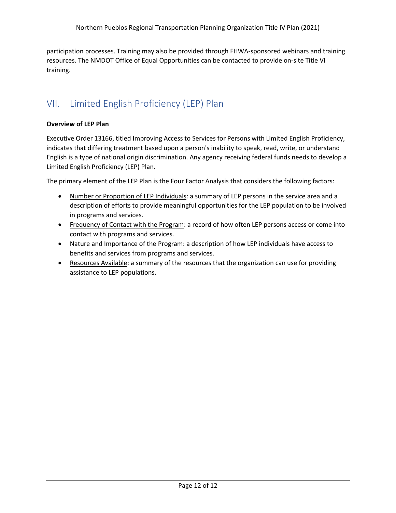participation processes. Training may also be provided through FHWA-sponsored webinars and training resources. The NMDOT Office of Equal Opportunities can be contacted to provide on-site Title VI training.

# VII. Limited English Proficiency (LEP) Plan

#### **Overview of LEP Plan**

Executive Order 13166, titled Improving Access to Services for Persons with Limited English Proficiency, indicates that differing treatment based upon a person's inability to speak, read, write, or understand English is a type of national origin discrimination. Any agency receiving federal funds needs to develop a Limited English Proficiency (LEP) Plan.

The primary element of the LEP Plan is the Four Factor Analysis that considers the following factors:

- Number or Proportion of LEP Individuals: a summary of LEP persons in the service area and a description of efforts to provide meaningful opportunities for the LEP population to be involved in programs and services.
- Frequency of Contact with the Program: a record of how often LEP persons access or come into contact with programs and services.
- Nature and Importance of the Program: a description of how LEP individuals have access to benefits and services from programs and services.
- Resources Available: a summary of the resources that the organization can use for providing assistance to LEP populations.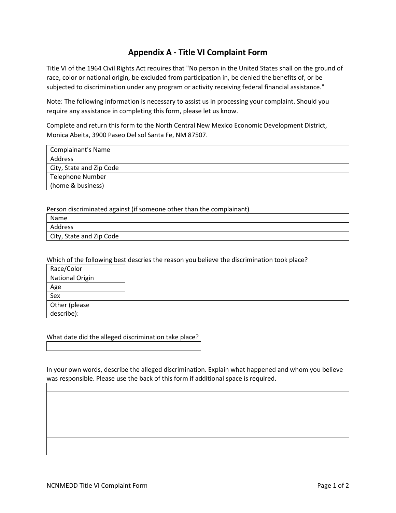# **Appendix A - Title VI Complaint Form**

Title VI of the 1964 Civil Rights Act requires that "No person in the United States shall on the ground of race, color or national origin, be excluded from participation in, be denied the benefits of, or be subjected to discrimination under any program or activity receiving federal financial assistance."

Note: The following information is necessary to assist us in processing your complaint. Should you require any assistance in completing this form, please let us know.

Complete and return this form to the North Central New Mexico Economic Development District, Monica Abeita, 3900 Paseo Del sol Santa Fe, NM 87507.

| Complainant's Name       |  |
|--------------------------|--|
| Address                  |  |
| City, State and Zip Code |  |
| Telephone Number         |  |
| (home & business)        |  |

Person discriminated against (if someone other than the complainant)

| Name                     |  |
|--------------------------|--|
| Address                  |  |
| City, State and Zip Code |  |

#### Which of the following best descries the reason you believe the discrimination took place?

| Race/Color                  |  |  |  |
|-----------------------------|--|--|--|
| <b>National Origin</b>      |  |  |  |
| Age                         |  |  |  |
| Sex                         |  |  |  |
| Other (please<br>describe): |  |  |  |
|                             |  |  |  |

#### What date did the alleged discrimination take place?

In your own words, describe the alleged discrimination. Explain what happened and whom you believe was responsible. Please use the back of this form if additional space is required.